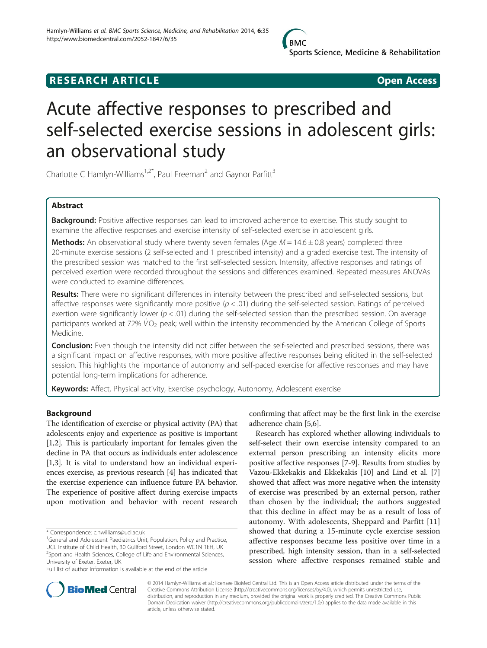

# **RESEARCH ARTICLE CONSUMING A RESEARCH ARTICLE**

# Acute affective responses to prescribed and self-selected exercise sessions in adolescent girls: an observational study

Charlotte C Hamlyn-Williams<sup>1,2\*</sup>, Paul Freeman<sup>2</sup> and Gaynor Parfitt<sup>3</sup>

# Abstract

Background: Positive affective responses can lead to improved adherence to exercise. This study sought to examine the affective responses and exercise intensity of self-selected exercise in adolescent girls.

**Methods:** An observational study where twenty seven females (Age  $M = 14.6 \pm 0.8$  years) completed three 20-minute exercise sessions (2 self-selected and 1 prescribed intensity) and a graded exercise test. The intensity of the prescribed session was matched to the first self-selected session. Intensity, affective responses and ratings of perceived exertion were recorded throughout the sessions and differences examined. Repeated measures ANOVAs were conducted to examine differences.

Results: There were no significant differences in intensity between the prescribed and self-selected sessions, but affective responses were significantly more positive ( $p < .01$ ) during the self-selected session. Ratings of perceived exertion were significantly lower ( $p < .01$ ) during the self-selected session than the prescribed session. On average participants worked at 72% VO<sub>2</sub> peak; well within the intensity recommended by the American College of Sports Medicine.

Conclusion: Even though the intensity did not differ between the self-selected and prescribed sessions, there was a significant impact on affective responses, with more positive affective responses being elicited in the self-selected session. This highlights the importance of autonomy and self-paced exercise for affective responses and may have potential long-term implications for adherence.

Keywords: Affect, Physical activity, Exercise psychology, Autonomy, Adolescent exercise

# Background

The identification of exercise or physical activity (PA) that adolescents enjoy and experience as positive is important [[1,2](#page-7-0)]. This is particularly important for females given the decline in PA that occurs as individuals enter adolescence [[1,3](#page-7-0)]. It is vital to understand how an individual experiences exercise, as previous research [\[4](#page-7-0)] has indicated that the exercise experience can influence future PA behavior. The experience of positive affect during exercise impacts upon motivation and behavior with recent research



Research has explored whether allowing individuals to self-select their own exercise intensity compared to an external person prescribing an intensity elicits more positive affective responses [\[7](#page-7-0)-[9\]](#page-7-0). Results from studies by Vazou-Ekkekakis and Ekkekakis [\[10\]](#page-7-0) and Lind et al. [\[7](#page-7-0)] showed that affect was more negative when the intensity of exercise was prescribed by an external person, rather than chosen by the individual; the authors suggested that this decline in affect may be as a result of loss of autonomy. With adolescents, Sheppard and Parfitt [\[11](#page-7-0)] showed that during a 15-minute cycle exercise session affective responses became less positive over time in a prescribed, high intensity session, than in a self-selected session where affective responses remained stable and



© 2014 Hamlyn-Williams et al.; licensee BioMed Central Ltd. This is an Open Access article distributed under the terms of the Creative Commons Attribution License (<http://creativecommons.org/licenses/by/4.0>), which permits unrestricted use, distribution, and reproduction in any medium, provided the original work is properly credited. The Creative Commons Public Domain Dedication waiver [\(http://creativecommons.org/publicdomain/zero/1.0/\)](http://creativecommons.org/publicdomain/zero/1.0/) applies to the data made available in this article, unless otherwise stated.

<sup>\*</sup> Correspondence: [c.hwilliams@ucl.ac.uk](mailto:c.hwilliams@ucl.ac.uk) <sup>1</sup>

<sup>&</sup>lt;sup>1</sup>General and Adolescent Paediatrics Unit, Population, Policy and Practice, UCL Institute of Child Health, 30 Guilford Street, London WC1N 1EH, UK <sup>2</sup>Sport and Health Sciences, College of Life and Environmental Sciences, University of Exeter, Exeter, UK

Full list of author information is available at the end of the article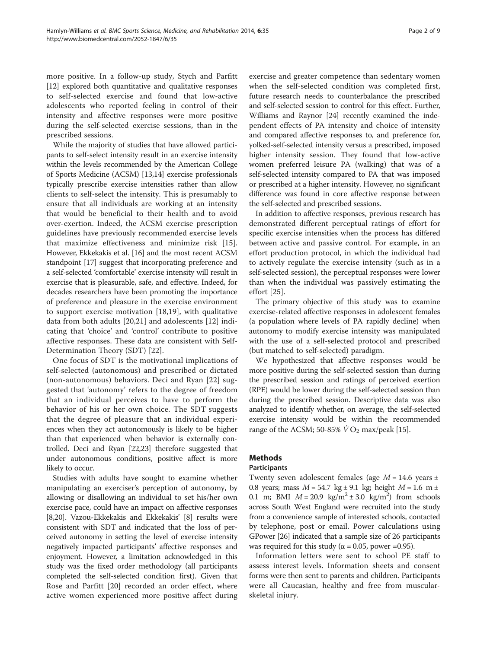more positive. In a follow-up study, Stych and Parfitt [[12](#page-7-0)] explored both quantitative and qualitative responses to self-selected exercise and found that low-active adolescents who reported feeling in control of their intensity and affective responses were more positive during the self-selected exercise sessions, than in the prescribed sessions.

While the majority of studies that have allowed participants to self-select intensity result in an exercise intensity within the levels recommended by the American College of Sports Medicine (ACSM) [[13,14\]](#page-7-0) exercise professionals typically prescribe exercise intensities rather than allow clients to self-select the intensity. This is presumably to ensure that all individuals are working at an intensity that would be beneficial to their health and to avoid over-exertion. Indeed, the ACSM exercise prescription guidelines have previously recommended exercise levels that maximize effectiveness and minimize risk [[15](#page-7-0)]. However, Ekkekakis et al. [\[16\]](#page-7-0) and the most recent ACSM standpoint [[17](#page-7-0)] suggest that incorporating preference and a self-selected 'comfortable' exercise intensity will result in exercise that is pleasurable, safe, and effective. Indeed, for decades researchers have been promoting the importance of preference and pleasure in the exercise environment to support exercise motivation [[18,19](#page-7-0)], with qualitative data from both adults [[20,21](#page-7-0)] and adolescents [[12\]](#page-7-0) indicating that 'choice' and 'control' contribute to positive affective responses. These data are consistent with Self-Determination Theory (SDT) [[22](#page-7-0)].

One focus of SDT is the motivational implications of self-selected (autonomous) and prescribed or dictated (non-autonomous) behaviors. Deci and Ryan [[22\]](#page-7-0) suggested that 'autonomy' refers to the degree of freedom that an individual perceives to have to perform the behavior of his or her own choice. The SDT suggests that the degree of pleasure that an individual experiences when they act autonomously is likely to be higher than that experienced when behavior is externally controlled. Deci and Ryan [[22,23\]](#page-7-0) therefore suggested that under autonomous conditions, positive affect is more likely to occur.

Studies with adults have sought to examine whether manipulating an exerciser's perception of autonomy, by allowing or disallowing an individual to set his/her own exercise pace, could have an impact on affective responses [[8,20](#page-7-0)]. Vazou-Ekkekakis and Ekkekakis' [[8\]](#page-7-0) results were consistent with SDT and indicated that the loss of perceived autonomy in setting the level of exercise intensity negatively impacted participants' affective responses and enjoyment. However, a limitation acknowledged in this study was the fixed order methodology (all participants completed the self-selected condition first). Given that Rose and Parfitt [[20\]](#page-7-0) recorded an order effect, where active women experienced more positive affect during

exercise and greater competence than sedentary women when the self-selected condition was completed first, future research needs to counterbalance the prescribed and self-selected session to control for this effect. Further, Williams and Raynor [\[24\]](#page-7-0) recently examined the independent effects of PA intensity and choice of intensity and compared affective responses to, and preference for, yolked-self-selected intensity versus a prescribed, imposed higher intensity session. They found that low-active women preferred leisure PA (walking) that was of a self-selected intensity compared to PA that was imposed or prescribed at a higher intensity. However, no significant difference was found in core affective response between the self-selected and prescribed sessions.

In addition to affective responses, previous research has demonstrated different perceptual ratings of effort for specific exercise intensities when the process has differed between active and passive control. For example, in an effort production protocol, in which the individual had to actively regulate the exercise intensity (such as in a self-selected session), the perceptual responses were lower than when the individual was passively estimating the effort [[25\]](#page-7-0).

The primary objective of this study was to examine exercise-related affective responses in adolescent females (a population where levels of PA rapidly decline) when autonomy to modify exercise intensity was manipulated with the use of a self-selected protocol and prescribed (but matched to self-selected) paradigm.

We hypothesized that affective responses would be more positive during the self-selected session than during the prescribed session and ratings of perceived exertion (RPE) would be lower during the self-selected session than during the prescribed session. Descriptive data was also analyzed to identify whether, on average, the self-selected exercise intensity would be within the recommended range of the ACSM; 50-85%  $\dot{V}O_2$  max/peak [[15](#page-7-0)].

# Methods

# Participants

Twenty seven adolescent females (age  $M = 14.6$  years  $\pm$ 0.8 years; mass  $M = 54.7 \text{ kg} \pm 9.1 \text{ kg}$ ; height  $M = 1.6 \text{ m} \pm 1.6 \text{ m}$ 0.1 m; BMI  $M = 20.9 \text{ kg/m}^2 \pm 3.0 \text{ kg/m}^2$  from schools across South West England were recruited into the study from a convenience sample of interested schools, contacted by telephone, post or email. Power calculations using GPower [\[26\]](#page-7-0) indicated that a sample size of 26 participants was required for this study ( $\alpha$  = 0.05, power =0.95).

Information letters were sent to school PE staff to assess interest levels. Information sheets and consent forms were then sent to parents and children. Participants were all Caucasian, healthy and free from muscularskeletal injury.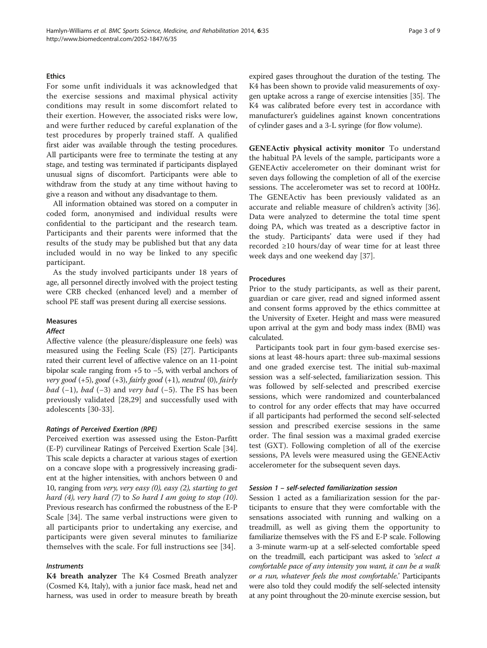# **Ethics**

For some unfit individuals it was acknowledged that the exercise sessions and maximal physical activity conditions may result in some discomfort related to their exertion. However, the associated risks were low, and were further reduced by careful explanation of the test procedures by properly trained staff. A qualified first aider was available through the testing procedures. All participants were free to terminate the testing at any stage, and testing was terminated if participants displayed unusual signs of discomfort. Participants were able to withdraw from the study at any time without having to give a reason and without any disadvantage to them.

All information obtained was stored on a computer in coded form, anonymised and individual results were confidential to the participant and the research team. Participants and their parents were informed that the results of the study may be published but that any data included would in no way be linked to any specific participant.

As the study involved participants under 18 years of age, all personnel directly involved with the project testing were CRB checked (enhanced level) and a member of school PE staff was present during all exercise sessions.

## Measures

# Affect

Affective valence (the pleasure/displeasure one feels) was measured using the Feeling Scale (FS) [\[27\]](#page-7-0). Participants rated their current level of affective valence on an 11-point bipolar scale ranging from +5 to −5, with verbal anchors of very good  $(+5)$ , good  $(+3)$ , fairly good  $(+1)$ , neutral  $(0)$ , fairly *bad* (−1), *bad* (−3) and *very bad* (−5). The FS has been previously validated [[28,29\]](#page-7-0) and successfully used with adolescents [[30-33](#page-7-0)].

#### Ratings of Perceived Exertion (RPE)

Perceived exertion was assessed using the Eston-Parfitt (E-P) curvilinear Ratings of Perceived Exertion Scale [[34](#page-7-0)]. This scale depicts a character at various stages of exertion on a concave slope with a progressively increasing gradient at the higher intensities, with anchors between 0 and 10, ranging from very, very easy (0), easy (2), starting to get hard  $(4)$ , very hard  $(7)$  to So hard I am going to stop  $(10)$ . Previous research has confirmed the robustness of the E-P Scale [\[34](#page-7-0)]. The same verbal instructions were given to all participants prior to undertaking any exercise, and participants were given several minutes to familiarize themselves with the scale. For full instructions see [[34\]](#page-7-0).

# **Instruments**

K4 breath analyzer The K4 Cosmed Breath analyzer (Cosmed K4, Italy), with a junior face mask, head net and harness, was used in order to measure breath by breath expired gases throughout the duration of the testing. The K4 has been shown to provide valid measurements of oxygen uptake across a range of exercise intensities [[35](#page-7-0)]. The K4 was calibrated before every test in accordance with manufacturer's guidelines against known concentrations of cylinder gases and a 3-L syringe (for flow volume).

GENEActiv physical activity monitor To understand the habitual PA levels of the sample, participants wore a GENEActiv accelerometer on their dominant wrist for seven days following the completion of all of the exercise sessions. The accelerometer was set to record at 100Hz. The GENEActiv has been previously validated as an accurate and reliable measure of children's activity [\[36](#page-7-0)]. Data were analyzed to determine the total time spent doing PA, which was treated as a descriptive factor in the study. Participants' data were used if they had recorded ≥10 hours/day of wear time for at least three week days and one weekend day [\[37](#page-7-0)].

# Procedures

Prior to the study participants, as well as their parent, guardian or care giver, read and signed informed assent and consent forms approved by the ethics committee at the University of Exeter. Height and mass were measured upon arrival at the gym and body mass index (BMI) was calculated.

Participants took part in four gym-based exercise sessions at least 48-hours apart: three sub-maximal sessions and one graded exercise test. The initial sub-maximal session was a self-selected, familiarization session. This was followed by self-selected and prescribed exercise sessions, which were randomized and counterbalanced to control for any order effects that may have occurred if all participants had performed the second self-selected session and prescribed exercise sessions in the same order. The final session was a maximal graded exercise test (GXT). Following completion of all of the exercise sessions, PA levels were measured using the GENEActiv accelerometer for the subsequent seven days.

#### Session 1 – self-selected familiarization session

Session 1 acted as a familiarization session for the participants to ensure that they were comfortable with the sensations associated with running and walking on a treadmill, as well as giving them the opportunity to familiarize themselves with the FS and E-P scale. Following a 3-minute warm-up at a self-selected comfortable speed on the treadmill, each participant was asked to 'select a comfortable pace of any intensity you want, it can be a walk or a run, whatever feels the most comfortable.' Participants were also told they could modify the self-selected intensity at any point throughout the 20-minute exercise session, but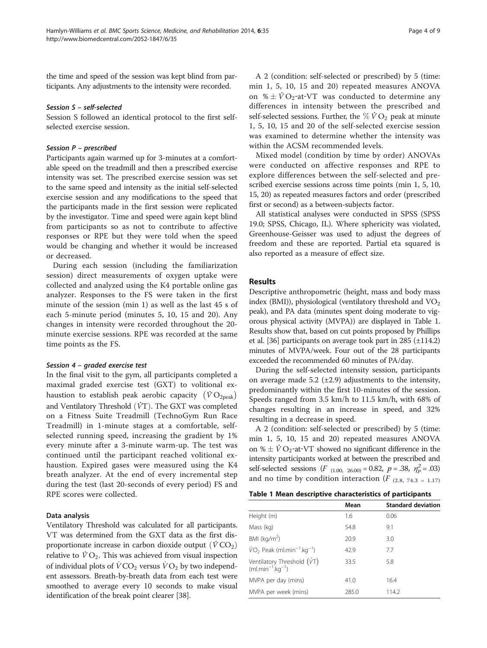the time and speed of the session was kept blind from participants. Any adjustments to the intensity were recorded.

#### Session S – self-selected

Session S followed an identical protocol to the first selfselected exercise session.

# Session P – prescribed

Participants again warmed up for 3-minutes at a comfortable speed on the treadmill and then a prescribed exercise intensity was set. The prescribed exercise session was set to the same speed and intensity as the initial self-selected exercise session and any modifications to the speed that the participants made in the first session were replicated by the investigator. Time and speed were again kept blind from participants so as not to contribute to affective responses or RPE but they were told when the speed would be changing and whether it would be increased or decreased.

During each session (including the familiarization session) direct measurements of oxygen uptake were collected and analyzed using the K4 portable online gas analyzer. Responses to the FS were taken in the first minute of the session (min 1) as well as the last 45 s of each 5-minute period (minutes 5, 10, 15 and 20). Any changes in intensity were recorded throughout the 20 minute exercise sessions. RPE was recorded at the same time points as the FS.

# Session 4 – graded exercise test

In the final visit to the gym, all participants completed a maximal graded exercise test (GXT) to volitional exhaustion to establish peak aerobic capacity  $(\dot{V}\mathrm{O}_{2\mathrm{peak}})$ and Ventilatory Threshold (VT). The GXT was completed on a Fitness Suite Treadmill (TechnoGym Run Race Treadmill) in 1-minute stages at a comfortable, selfselected running speed, increasing the gradient by 1% every minute after a 3-minute warm-up. The test was continued until the participant reached volitional exhaustion. Expired gases were measured using the K4 breath analyzer. At the end of every incremental step during the test (last 20-seconds of every period) FS and RPE scores were collected.

# Data analysis

Ventilatory Threshold was calculated for all participants. VT was determined from the GXT data as the first disproportionate increase in carbon dioxide output  $(VCO<sub>2</sub>)$ relative to  $\dot{V}\text{O}_2$ . This was achieved from visual inspection of individual plots of  $VCO_2$  versus  $\dot{V}O_2$  by two independent assessors. Breath-by-breath data from each test were smoothed to average every 10 seconds to make visual identification of the break point clearer [[38](#page-7-0)].

A 2 (condition: self-selected or prescribed) by 5 (time: min 1, 5, 10, 15 and 20) repeated measures ANOVA on  $% \pm VO_2$ -at-VT was conducted to determine any differences in intensity between the prescribed and self-selected sessions. Further, the  $\%$   $\mathring{V}\mathrm{O}_2$  peak at minute 1, 5, 10, 15 and 20 of the self-selected exercise session was examined to determine whether the intensity was within the ACSM recommended levels.

Mixed model (condition by time by order) ANOVAs were conducted on affective responses and RPE to explore differences between the self-selected and prescribed exercise sessions across time points (min 1, 5, 10, 15, 20) as repeated measures factors and order (prescribed first or second) as a between-subjects factor.

All statistical analyses were conducted in SPSS (SPSS 19.0; SPSS, Chicago, IL). Where sphericity was violated, Greenhouse-Geisser was used to adjust the degrees of freedom and these are reported. Partial eta squared is also reported as a measure of effect size.

# Results

Descriptive anthropometric (height, mass and body mass index (BMI)), physiological (ventilatory threshold and  $VO<sub>2</sub>$ peak), and PA data (minutes spent doing moderate to vigorous physical activity (MVPA)) are displayed in Table 1. Results show that, based on cut points proposed by Phillips et al. [\[36\]](#page-7-0) participants on average took part in  $285$  ( $\pm$ 114.2) minutes of MVPA/week. Four out of the 28 participants exceeded the recommended 60 minutes of PA/day.

During the self-selected intensity session, participants on average made 5.2  $(\pm 2.9)$  adjustments to the intensity, predominantly within the first 10-minutes of the session. Speeds ranged from 3.5 km/h to 11.5 km/h, with 68% of changes resulting in an increase in speed, and 32% resulting in a decrease in speed.

A 2 (condition: self-selected or prescribed) by 5 (time: min 1, 5, 10, 15 and 20) repeated measures ANOVA on  $% \pm VO_2$ -at-VT showed no significant difference in the intensity participants worked at between the prescribed and self-selected sessions (*F* (1.00, 26.00) = 0.82,  $p = .38$ ,  $\eta_p^2 = .03$ ) and no time by condition interaction ( $F_{(2,8, 74.3, 117)}$ )

|  |  |  |  | Table 1 Mean descriptive characteristics of participants |
|--|--|--|--|----------------------------------------------------------|
|--|--|--|--|----------------------------------------------------------|

|                                                             | Mean  | <b>Standard deviation</b> |
|-------------------------------------------------------------|-------|---------------------------|
| Height (m)                                                  | 1.6   | 0.06                      |
| Mass (kg)                                                   | 54.8  | 9.1                       |
| BMI ( $kg/m2$ )                                             | 20.9  | 3.0                       |
| $\dot{V}O_2$ Peak (ml.min <sup>-1</sup> .kg <sup>-1</sup> ) | 42.9  | 7.7                       |
| Ventilatory Threshold (VT)<br>$(ml.min-1.kg-1)$             | 33.5  | 5.8                       |
| MVPA per day (mins)                                         | 41.0  | 16.4                      |
| MVPA per week (mins)                                        | 285.0 | 114.2                     |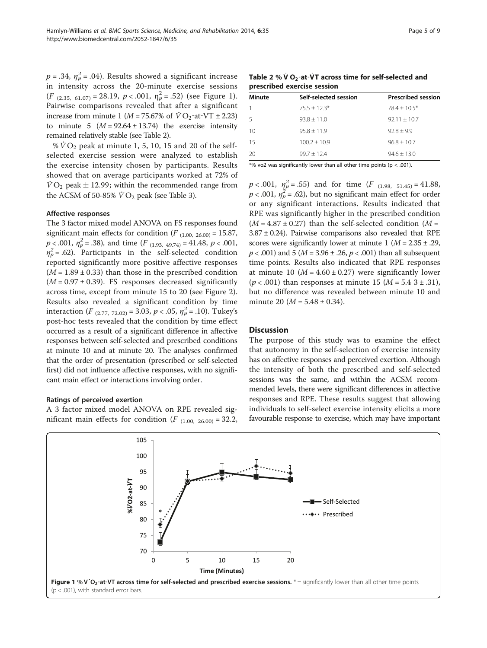$p = .34$ ,  $\eta_p^2 = .04$ ). Results showed a significant increase in intensity across the 20-minute exercise sessions  $(F_{(2.35, 61.07)} = 28.19, p < .001, \eta_p^2 = .52)$  (see Figure 1). Pairwise comparisons revealed that after a significant increase from minute  $1 (M = 75.67\% \text{ of } \dot{V}O_2\text{-at-VT } \pm 2.23)$ to minute 5  $(M = 92.64 \pm 13.74)$  the exercise intensity remained relatively stable (see Table 2).

%  $\sqrt{V}O_2$  peak at minute 1, 5, 10, 15 and 20 of the selfselected exercise session were analyzed to establish the exercise intensity chosen by participants. Results showed that on average participants worked at 72% of  $\dot{V}O_2$  peak  $\pm$  12.99; within the recommended range from the ACSM of 50-85%  $\dot{V}\text{O}_2$  peak (see Table [3](#page-5-0)).

#### Affective responses

The 3 factor mixed model ANOVA on FS responses found significant main effects for condition ( $F$  (1.00, 26.00) = 15.87,  $p < .001$ ,  $\eta_p^2 = .38$ ), and time (*F* <sub>(1.93, 49.74)</sub> = 41.48,  $p < .001$ ,  $\eta_p^2$  = .62). Participants in the self-selected condition reported significantly more positive affective responses  $(M = 1.89 \pm 0.33)$  than those in the prescribed condition  $(M = 0.97 \pm 0.39)$ . FS responses decreased significantly across time, except from minute 15 to 20 (see Figure [2](#page-5-0)). Results also revealed a significant condition by time interaction (*F* <sub>(2.77, 72.02)</sub> = 3.03, *p* < .05,  $\eta_p^2$  = .10). Tukey's post-hoc tests revealed that the condition by time effect occurred as a result of a significant difference in affective responses between self-selected and prescribed conditions at minute 10 and at minute 20. The analyses confirmed that the order of presentation (prescribed or self-selected first) did not influence affective responses, with no significant main effect or interactions involving order.

# Ratings of perceived exertion

A 3 factor mixed model ANOVA on RPE revealed significant main effects for condition ( $F_{(1.00, 26.00)} = 32.2$ ,

Table 2 % V O<sub>2</sub>-at-VT across time for self-selected and prescribed exercise session

| Minute | Self-selected session | <b>Prescribed session</b> |  |  |
|--------|-----------------------|---------------------------|--|--|
|        | $75.5 + 12.3*$        | $78.4 \pm 10.5*$          |  |  |
| 5      | $93.8 + 11.0$         | $92.11 + 10.7$            |  |  |
| 10     | $95.8 + 11.9$         | $92.8 + 9.9$              |  |  |
| 15     | $100.2 + 10.9$        | $96.8 + 10.7$             |  |  |
| 20     | $99.7 \pm 12.4$       | $94.6 + 13.0$             |  |  |
|        |                       |                           |  |  |

 $*$ % vo2 was significantly lower than all other time points (p < .001).

 $p < .001$ ,  $\eta_p^2 = .55$ ) and for time (F<sub>(1.98, 51.45)</sub> = 41.88,  $p < .001$ ,  $\eta_p^2 = .62$ ), but no significant main effect for order or any significant interactions. Results indicated that RPE was significantly higher in the prescribed condition  $(M = 4.87 \pm 0.27)$  than the self-selected condition  $(M =$  $3.87 \pm 0.24$ ). Pairwise comparisons also revealed that RPE scores were significantly lower at minute  $1 (M = 2.35 \pm .29)$ ,  $p < .001$ ) and 5 ( $M = 3.96 \pm .26$ ,  $p < .001$ ) than all subsequent time points. Results also indicated that RPE responses at minute 10 ( $M = 4.60 \pm 0.27$ ) were significantly lower  $(p < .001)$  than responses at minute 15  $(M = 5.4 \, 3 \pm .31)$ , but no difference was revealed between minute 10 and minute 20  $(M = 5.48 \pm 0.34)$ .

# **Discussion**

The purpose of this study was to examine the effect that autonomy in the self-selection of exercise intensity has on affective responses and perceived exertion. Although the intensity of both the prescribed and self-selected sessions was the same, and within the ACSM recommended levels, there were significant differences in affective responses and RPE. These results suggest that allowing individuals to self-select exercise intensity elicits a more favourable response to exercise, which may have important

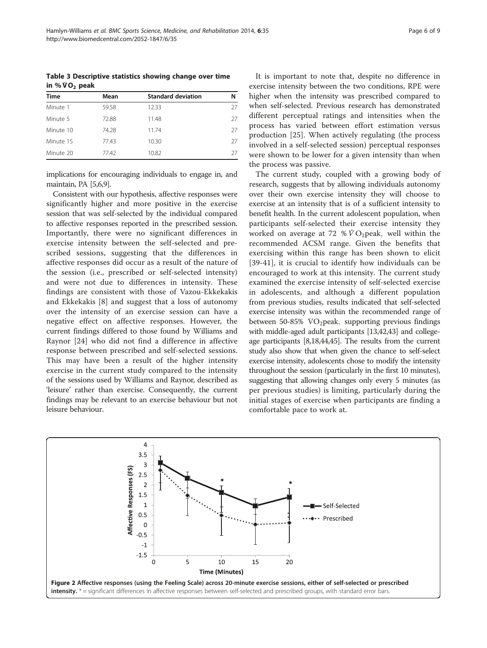<span id="page-5-0"></span>Table 3 Descriptive statistics showing change over time in  $%$   $VO<sub>2</sub>$  peak

| <b>Time</b> | Mean  | <b>Standard deviation</b> | N  |
|-------------|-------|---------------------------|----|
| Minute 1    | 59.58 | 12.33                     | 27 |
| Minute 5    | 72.88 | 11.48                     | 27 |
| Minute 10   | 74.28 | 11.74                     | 27 |
| Minute 15   | 77.43 | 10.30                     | 27 |
| Minute 20   | 77.42 | 10.82                     | 27 |
|             |       |                           |    |

implications for encouraging individuals to engage in, and maintain, PA [\[5,6,9](#page-7-0)].

Consistent with our hypothesis, affective responses were significantly higher and more positive in the exercise session that was self-selected by the individual compared to affective responses reported in the prescribed session. Importantly, there were no significant differences in exercise intensity between the self-selected and prescribed sessions, suggesting that the differences in affective responses did occur as a result of the nature of the session (i.e., prescribed or self-selected intensity) and were not due to differences in intensity. These findings are consistent with those of Vazou-Ekkekakis and Ekkekakis [[8\]](#page-7-0) and suggest that a loss of autonomy over the intensity of an exercise session can have a negative effect on affective responses. However, the current findings differed to those found by Williams and Raynor [[24\]](#page-7-0) who did not find a difference in affective response between prescribed and self-selected sessions. This may have been a result of the higher intensity exercise in the current study compared to the intensity of the sessions used by Williams and Raynor, described as 'leisure' rather than exercise. Consequently, the current findings may be relevant to an exercise behaviour but not leisure behaviour.

It is important to note that, despite no difference in exercise intensity between the two conditions, RPE were higher when the intensity was prescribed compared to when self-selected. Previous research has demonstrated different perceptual ratings and intensities when the process has varied between effort estimation versus production [[25\]](#page-7-0). When actively regulating (the process involved in a self-selected session) perceptual responses were shown to be lower for a given intensity than when the process was passive.

The current study, coupled with a growing body of research, suggests that by allowing individuals autonomy over their own exercise intensity they will choose to exercise at an intensity that is of a sufficient intensity to benefit health. In the current adolescent population, when participants self-selected their exercise intensity they worked on average at 72 %  $\dot{V}O_2$  peak, well within the recommended ACSM range. Given the benefits that exercising within this range has been shown to elicit [[39-41\]](#page-7-0), it is crucial to identify how individuals can be encouraged to work at this intensity. The current study examined the exercise intensity of self-selected exercise in adolescents, and although a different population from previous studies, results indicated that self-selected exercise intensity was within the recommended range of between 50-85%  $VO<sub>2</sub>peak$ , supporting previous findings with middle-aged adult participants [\[13,42,](#page-7-0)[43](#page-8-0)] and collegeage participants [\[8,18](#page-7-0)[,44,45\]](#page-8-0). The results from the current study also show that when given the chance to self-select exercise intensity, adolescents chose to modify the intensity throughout the session (particularly in the first 10 minutes), suggesting that allowing changes only every 5 minutes (as per previous studies) is limiting, particularly during the initial stages of exercise when participants are finding a comfortable pace to work at.

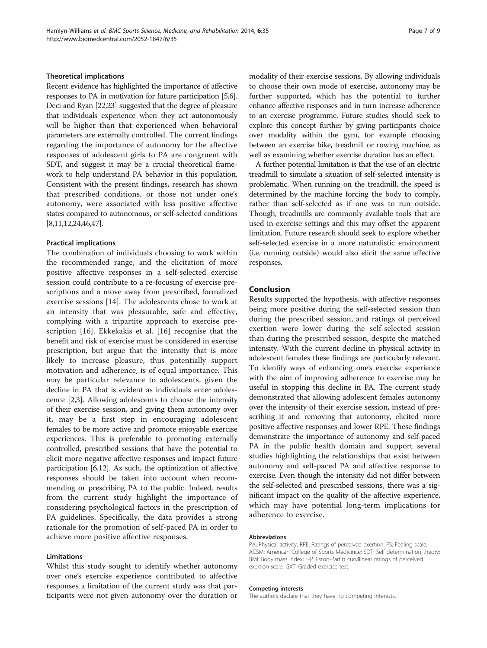### Theoretical implications

Recent evidence has highlighted the importance of affective responses to PA in motivation for future participation [\[5,6](#page-7-0)]. Deci and Ryan [\[22,23](#page-7-0)] suggested that the degree of pleasure that individuals experience when they act autonomously will be higher than that experienced when behavioral parameters are externally controlled. The current findings regarding the importance of autonomy for the affective responses of adolescent girls to PA are congruent with SDT, and suggest it may be a crucial theoretical framework to help understand PA behavior in this population. Consistent with the present findings, research has shown that prescribed conditions, or those not under one's autonomy, were associated with less positive affective states compared to autonomous, or self-selected conditions [[8,11,12,24,](#page-7-0)[46,47](#page-8-0)].

#### Practical implications

The combination of individuals choosing to work within the recommended range, and the elicitation of more positive affective responses in a self-selected exercise session could contribute to a re-focusing of exercise prescriptions and a move away from prescribed, formalized exercise sessions [\[14](#page-7-0)]. The adolescents chose to work at an intensity that was pleasurable, safe and effective, complying with a tripartite approach to exercise prescription [[16\]](#page-7-0). Ekkekakis et al. [\[16](#page-7-0)] recognise that the benefit and risk of exercise must be considered in exercise prescription, but argue that the intensity that is more likely to increase pleasure, thus potentially support motivation and adherence, is of equal importance. This may be particular relevance to adolescents, given the decline in PA that is evident as individuals enter adolescence [\[2,3\]](#page-7-0). Allowing adolescents to choose the intensity of their exercise session, and giving them autonomy over it, may be a first step in encouraging adolescent females to be more active and promote enjoyable exercise experiences. This is preferable to promoting externally controlled, prescribed sessions that have the potential to elicit more negative affective responses and impact future participation [[6,12](#page-7-0)]. As such, the optimization of affective responses should be taken into account when recommending or prescribing PA to the public. Indeed, results from the current study highlight the importance of considering psychological factors in the prescription of PA guidelines. Specifically, the data provides a strong rationale for the promotion of self-paced PA in order to achieve more positive affective responses.

#### Limitations

Whilst this study sought to identify whether autonomy over one's exercise experience contributed to affective responses a limitation of the current study was that participants were not given autonomy over the duration or

modality of their exercise sessions. By allowing individuals to choose their own mode of exercise, autonomy may be further supported, which has the potential to further enhance affective responses and in turn increase adherence to an exercise programme. Future studies should seek to explore this concept further by giving participants choice over modality within the gym, for example choosing between an exercise bike, treadmill or rowing machine, as well as examining whether exercise duration has an effect.

A further potential limitation is that the use of an electric treadmill to simulate a situation of self-selected intensity is problematic. When running on the treadmill, the speed is determined by the machine forcing the body to comply, rather than self-selected as if one was to run outside. Though, treadmills are commonly available tools that are used in exercise settings and this may offset the apparent limitation. Future research should seek to explore whether self-selected exercise in a more naturalistic environment (i.e. running outside) would also elicit the same affective responses.

# Conclusion

Results supported the hypothesis, with affective responses being more positive during the self-selected session than during the prescribed session, and ratings of perceived exertion were lower during the self-selected session than during the prescribed session, despite the matched intensity. With the current decline in physical activity in adolescent females these findings are particularly relevant. To identify ways of enhancing one's exercise experience with the aim of improving adherence to exercise may be useful in stopping this decline in PA. The current study demonstrated that allowing adolescent females autonomy over the intensity of their exercise session, instead of prescribing it and removing that autonomy, elicited more positive affective responses and lower RPE. These findings demonstrate the importance of autonomy and self-paced PA in the public health domain and support several studies highlighting the relationships that exist between autonomy and self-paced PA and affective response to exercise. Even though the intensity did not differ between the self-selected and prescribed sessions, there was a significant impact on the quality of the affective experience, which may have potential long-term implications for adherence to exercise.

#### Abbreviations

PA: Physical activity; RPE: Ratings of perceived exertion; FS: Feeling scale; ACSM: American College of Sports Medicince; SDT: Self determination theory; BMI: Body mass index; E-P: Eston-Parfitt curvilinear ratings of perceived exertion scale; GXT: Graded exercise test.

#### Competing interests

The authors declare that they have no competing interests.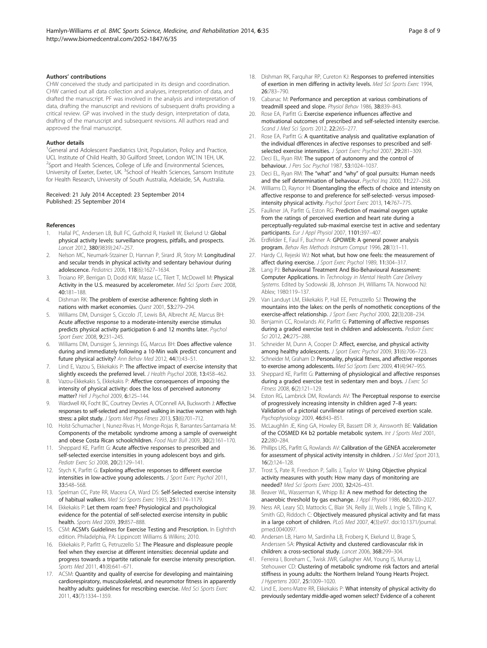#### <span id="page-7-0"></span>Authors' contributions

CHW conceived the study and participated in its design and coordination. CHW carried out all data collection and analyses, interpretation of data, and drafted the manuscript. PF was involved in the analysis and interpretation of data, drafting the manuscript and revisions of subsequent drafts providing a critical review. GP was involved in the study design, interpretation of data, drafting of the manuscript and subsequent revisions. All authors read and approved the final manuscript.

#### Author details

<sup>1</sup>General and Adolescent Paediatrics Unit, Population, Policy and Practice, UCL Institute of Child Health, 30 Guilford Street, London WC1N 1EH, UK. <sup>2</sup>Sport and Health Sciences, College of Life and Environmental Sciences, University of Exeter, Exeter, UK. <sup>3</sup>School of Health Sciences, Sansom Institute for Health Research, University of South Australia, Adelaide, SA, Australia.

#### Received: 21 July 2014 Accepted: 23 September 2014 Published: 25 September 2014

#### References

- Hallal PC, Andersen LB, Bull FC, Guthold R, Haskell W, Ekelund U: Global physical activity levels: surveillance progress, pitfalls, and prospects. Lancet 2012, 380(9839):247–257.
- 2. Nelson MC, Neumark-Stzainer D, Hannan P, Sirard JR, Story M: Longitudinal and secular trends in physical activity and sedentary behaviour during adolescence. Pediatrics 2006, 118(6):1627–1634.
- 3. Troiano RP, Berrigan D, Dodd KW, Masse LC, Tilert T, McDowell M: Physical Activity in the U.S. measured by accelerometer. Med Sci Sports Exerc 2008, 40:181–188.
- 4. Dishman RK: The problem of exercise adherence: fighting sloth in nations with market economies. Quest 2001, 53:279–294.
- 5. Williams DM, Dunsiger S, Ciccolo JT, Lewis BA, Albrecht AE, Marcus BH: Acute affective response to a moderate-intensity exercise stimulus predicts physical activity participation 6 and 12 months later. Psychol Sport Exerc 2008, 9:231–245.
- 6. Williams DM, Dunsiger S, Jennings EG, Marcus BH: Does affective valence during and immediately following a 10-Min walk predict concurrent and future physical activity? Ann Behav Med 2012, 44(1):43–51.
- Lind E, Vazou S, Ekkekakis P: The affective impact of exercise intensity that slightly exceeds the preferred level. J Health Psychol 2008, 13:458-462.
- 8. Vazou-Ekkekakis S, Ekkekakis P: Affective consequences of imposing the intensity of physical activity: does the loss of perceived autonomy matter? Hell J Psychol 2009, 6:125–144.
- Wardwell KK, Focht BC, Courtney Devries A, O'Connell AA, Buckworth J: Affective responses to self-selected and imposed walking in inactive women with high stress: a pilot study. J Sports Med Phys Fitness 2013, 53(6):701-712.
- 10. Holst-Schumacher I, Nunez-Rivas H, Monge-Rojas R, Barrantes-Santamaria M: Components of the metabolic syndrome among a sample of overweight and obese Costa Rican schoolchildren. Food Nutr Bull 2009, 30(2):161–170.
- 11. Sheppard KE, Parfitt G: Acute affective responses to prescribed and self-selected exercise intensities in young adolescent boys and girls. Pediatr Exerc Sci 2008, 20(2):129–141.
- 12. Stych K, Parfitt G: Exploring affective responses to different exercise intensities in low-active young adolescents. J Sport Exerc Psychol 2011, 33:548–568.
- 13. Spelman CC, Pate RR, Macera CA, Ward DS: Self-Selected exercise intensity of habitual walkers. Med Sci Sports Exerc 1993, 25:1174–1179.
- 14. Ekkekakis P: Let them roam free? Physiological and psychological evidence for the potential of self-selected exercise intensity in public health. Sports Med 2009, 39:857–888.
- 15. CSM: ACSM's Guidelines for Exercise Testing and Prescription. In Eighthth edition. Philadelphia, PA: Lippincott Williams & Wilkins; 2010.
- 16. Ekkekakis P, Parfitt G, Petruzzello SJ: The Pleasure and displeasure people feel when they exercise at different intensities: decennial update and progress towards a tripartite rationale for exercise intensity prescription. Sports Med 2011, 41(8):641–671.
- 17. ACSM: Quantity and quality of exercise for developing and maintaining cardiorespiratory, musculoskeletal, and neuromotor fitness in apparently healthy adults: guidelines for rrescribing exercise. Med Sci Sports Exerc 2011, 43(7):1334–1359.
- 18. Dishman RK, Farquhar RP, Cureton KJ: Responses to preferred intensities of exertion in men differing in activity levels. Med Sci Sports Exerc 1994, 26:783–790.
- 19. Cabanac M: Performance and perception at various combinations of treadmill speed and slope. Physiol Behav 1986, 38:839–843.
- 20. Rose EA, Parfitt G: Exercise experience influences affective and motivational outcomes of prescribed and self-selected intensity exercise. Scand J Med Sci Sports 2012, 22:265-277.
- 21. Rose EA, Parfitt G: A quantitative analysis and qualitative explanation of the individual dfferences in afective responses to prescribed and selfselected exercise intensities. J Sport Exerc Psychol 2007, 29:281-309.
- 22. Deci EL, Ryan RM: The support of autonomy and the control of behaviour. J Pers Soc Psychol 1987, 53:1024–1037.
- 23. Deci EL, Ryan RM: The "what" and "why" of goal pursuits: Human needs and the self determination of behaviour. Psychol Inq 2000, 11:227-268.
- 24. Williams D, Raynor H: Disentangling the effects of choice and intensity on affective response to and preference for self-selected- versus imposedintensity physical activity. Psychol Sport Exerc 2013, 14:767–775.
- 25. Faulkner JA, Parfitt G, Eston RG: Prediction of maximal oxygen uptake from the ratings of perceived exertion and heart rate during a perceptually-regulated sub-maximal exercise test in active and sedentary participants. Eur J Appl Physiol 2007, 1101:397–407.
- 26. Erdfelder E, Faul F, Buchner A: GPOWER: A general power analysis program. Behav Res Methods Instrum Comput 1996, 28(1):1–11.
- 27. Hardy CJ, Rejeski WJ: Not what, but how one feels: the measurement of affect during exercise. J Sport Exerc Psychol 1989, 11:304-317.
- 28. Lang PJ: Behavioural Treatment And Bio-Behavioural Assessment: Computer Applications. In Technology in Mental Health Care Delivery Systems. Edited by Sodowski JB, Johnson JH, Williams TA. Norwood NJ: Ablex; 1980:119–137.
- 29. Van Landuyt LM, Ekkekakis P, Hall EE, Petruzzello SJ: Throwing the mountains into the lakes: on the perils of nomothetic conceptions of the exercise-affect relationship. J Sport Exerc Psychol 2000, 22(3):208–234.
- 30. Benjamin CC, Rowlands AV, Parfitt G: Patterning of affective responses during a graded exercise test in children and adolescents. Pediatr Exerc Sci 2012, 24:275-288.
- 31. Schneider M, Dunn A, Cooper D: Affect, exercise, and physical activity among healthy adolescents. J Sport Exerc Psychol 2009, 31(6):706-723.
- 32. Schneider M, Graham D: Personality, physical fitness, and affective responses to exercise among adolescents. Med Sci Sports Exerc 2009, 41(4):947-955.
- 33. Sheppard KE, Parfitt G: Patterning of physiological and affective responses during a graded exercise test in sedentary men and boys. J Exerc Sci Fitness 2008, 6(2):121–129.
- 34. Eston RG, Lambrick DM, Rowlands AV: The Perceptual response to exercise of progressively increasing intensity in children aged 7–8 years: Validation of a pictorial curvilinear ratings of perceived exertion scale. Psychophysiology 2009, 46:843–851.
- 35. McLaughlin JE, King GA, Howley ER, Bassett DR Jr, Ainsworth BE: Validation of the COSMED K4 b2 portable metabolic system. Int J Sports Med 2001, 22:280–284.
- 36. Phillips LRS, Parfitt G, Rowlands AV: Calibration of the GENEA accelerometer for assessment of physical activity intensity in children. J Sci Med Sport 2013, 16(2):124–128.
- 37. Trost S, Pate R, Freedson P, Sallis J, Taylor W: Using Objective physical activity measures with youth: How many days of monitoring are needed? Med Sci Sports Exerc 2000, 32:426–431.
- 38. Beaver WL, Wasserman K, Whipp BJ: A new method for detecting the anaerobic threshold by gas exchange. J Appl Physiol 1986, 60:2020–2027.
- 39. Ness AR, Leary SD, Mattocks C, Blair SN, Reilly JJ, Wells J, Ingle S, Tilling K, Smith GD, Riddoch C: Objectively measured physical activity and fat mass in a large cohort of children. PLoS Med 2007, 4(3):e97. doi:10.1371/journal. pmed.0040097.
- 40. Andersen LB, Harro M, Sardinha LB, Froberg K, Ekelund U, Brage S, Anderssen SA: Physical Activity and clustered cardiovascular risk in children: a cross-sectional study. Lancet 2006, 368:299–304.
- 41. Ferreira I, Boreham C, Twisk JWR, Gallagher AM, Young IS, Murray LJ, Stehouwer CD: Clustering of metabolic syndrome risk factors and arterial stiffness in young adults: the Northern Ireland Young Hearts Project. J Hypertens 2007, 25:1009–1020.
- 42. Lind E, Joens-Matre RR, Ekkekakis P: What intensity of physical activity do previously sedentary middle-aged women select? Evidence of a coherent